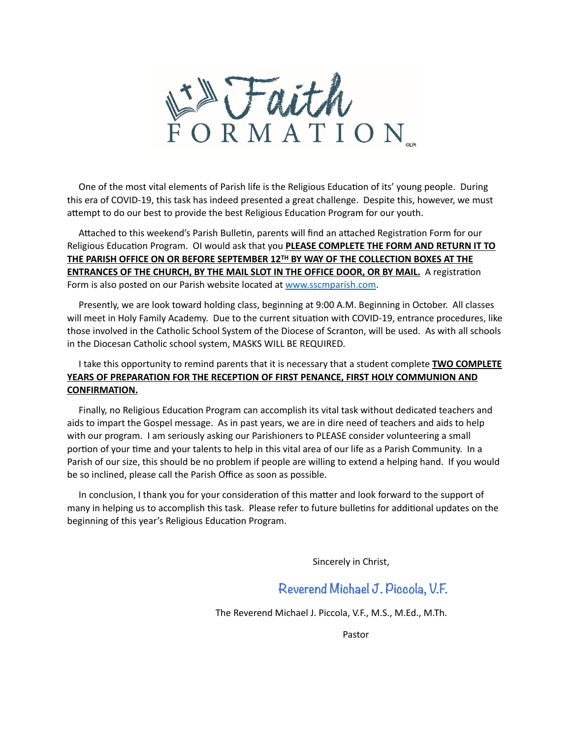

One of the most vital elements of Parish life is the Religious Education of its' young people. During this era of COVID-19, this task has indeed presented a great challenge. Despite this, however, we must attempt to do our best to provide the best Religious Education Program for our youth.

Attached to this weekend's Parish Bulletin, parents will find an attached Registration Form for our Religious Education Program. OI would ask that you **PLEASE COMPLETE THE FORM AND RETURN IT TO THE PARISH OFFICE ON OR BEFORE SEPTEMBER 12TH BY WAY OF THE COLLECTION BOXES AT THE ENTRANCES OF THE CHURCH, BY THE MAIL SLOT IN THE OFFICE DOOR, OR BY MAIL.** A registration Form is also posted on our Parish website located at [www.sscmparish.com](http://www.sscmparish.com).

 Presently, we are look toward holding class, beginning at 9:00 A.M. Beginning in October. All classes will meet in Holy Family Academy. Due to the current situation with COVID-19, entrance procedures, like those involved in the Catholic School System of the Diocese of Scranton, will be used. As with all schools in the Diocesan Catholic school system, MASKS WILL BE REQUIRED.

## I take this opportunity to remind parents that it is necessary that a student complete **TWO COMPLETE YEARS OF PREPARATION FOR THE RECEPTION OF FIRST PENANCE, FIRST HOLY COMMUNION AND CONFIRMATION.**

Finally, no Religious Education Program can accomplish its vital task without dedicated teachers and aids to impart the Gospel message. As in past years, we are in dire need of teachers and aids to help with our program. I am seriously asking our Parishioners to PLEASE consider volunteering a small portion of your time and your talents to help in this vital area of our life as a Parish Community. In a Parish of our size, this should be no problem if people are willing to extend a helping hand. If you would be so inclined, please call the Parish Office as soon as possible.

In conclusion, I thank you for your consideration of this matter and look forward to the support of many in helping us to accomplish this task. Please refer to future bulletins for additional updates on the beginning of this year's Religious Education Program.

Sincerely in Christ,

## **Reverend Michael J. Piccola, V.F.**

The Reverend Michael J. Piccola, V.F., M.S., M.Ed., M.Th.

**Pastor** Research Contract Contract Contract Contract Contract Contract Contract Contract Contract Contract Contract Contract Contract Contract Contract Contract Contract Contract Contract Contract Contract Contract Contra